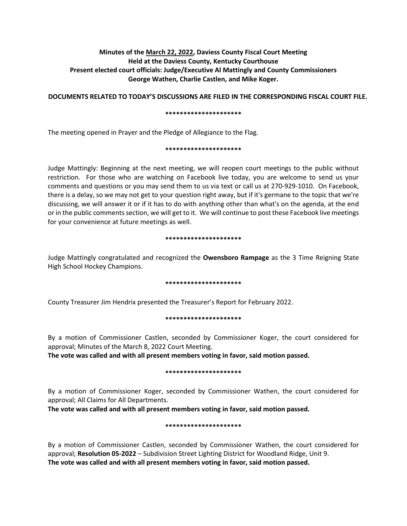# **Minutes of the March 22, 2022, Daviess County Fiscal Court Meeting Held at the Daviess County, Kentucky Courthouse Present elected court officials: Judge/Executive Al Mattingly and County Commissioners George Wathen, Charlie Castlen, and Mike Koger.**

**DOCUMENTS RELATED TO TODAY'S DISCUSSIONS ARE FILED IN THE CORRESPONDING FISCAL COURT FILE.**

### **\*\*\*\*\*\*\*\*\*\*\*\*\*\*\*\*\*\*\*\*\***

The meeting opened in Prayer and the Pledge of Allegiance to the Flag.

### **\*\*\*\*\*\*\*\*\*\*\*\*\*\*\*\*\*\*\*\*\***

Judge Mattingly: Beginning at the next meeting, we will reopen court meetings to the public without restriction. For those who are watching on Facebook live today, you are welcome to send us your comments and questions or you may send them to us via text or call us at 270-929-1010. On Facebook, there is a delay, so we may not get to your question right away, but if it's germane to the topic that we're discussing, we will answer it or if it has to do with anything other than what's on the agenda, at the end or in the public comments section, we will get to it. We will continue to post these Facebook live meetings for your convenience at future meetings as well.

### **\*\*\*\*\*\*\*\*\*\*\*\*\*\*\*\*\*\*\*\*\***

Judge Mattingly congratulated and recognized the **Owensboro Rampage** as the 3 Time Reigning State High School Hockey Champions.

# **\*\*\*\*\*\*\*\*\*\*\*\*\*\*\*\*\*\*\*\*\***

County Treasurer Jim Hendrix presented the Treasurer's Report for February 2022.

#### **\*\*\*\*\*\*\*\*\*\*\*\*\*\*\*\*\*\*\*\*\***

By a motion of Commissioner Castlen, seconded by Commissioner Koger, the court considered for approval; Minutes of the March 8, 2022 Court Meeting.

**The vote was called and with all present members voting in favor, said motion passed.** 

# **\*\*\*\*\*\*\*\*\*\*\*\*\*\*\*\*\*\*\*\*\***

By a motion of Commissioner Koger, seconded by Commissioner Wathen, the court considered for approval; All Claims for All Departments.

**The vote was called and with all present members voting in favor, said motion passed.** 

# **\*\*\*\*\*\*\*\*\*\*\*\*\*\*\*\*\*\*\*\*\***

By a motion of Commissioner Castlen, seconded by Commissioner Wathen, the court considered for approval; **Resolution 05-2022** – Subdivision Street Lighting District for Woodland Ridge, Unit 9. **The vote was called and with all present members voting in favor, said motion passed.**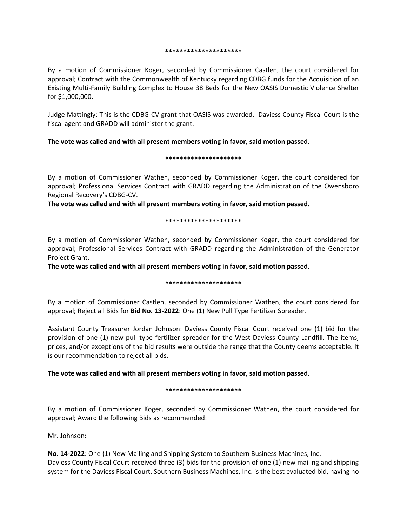#### **\*\*\*\*\*\*\*\*\*\*\*\*\*\*\*\*\*\*\*\*\***

By a motion of Commissioner Koger, seconded by Commissioner Castlen, the court considered for approval; Contract with the Commonwealth of Kentucky regarding CDBG funds for the Acquisition of an Existing Multi-Family Building Complex to House 38 Beds for the New OASIS Domestic Violence Shelter for \$1,000,000.

Judge Mattingly: This is the CDBG-CV grant that OASIS was awarded. Daviess County Fiscal Court is the fiscal agent and GRADD will administer the grant.

# **The vote was called and with all present members voting in favor, said motion passed.**

### **\*\*\*\*\*\*\*\*\*\*\*\*\*\*\*\*\*\*\*\*\***

By a motion of Commissioner Wathen, seconded by Commissioner Koger, the court considered for approval; Professional Services Contract with GRADD regarding the Administration of the Owensboro Regional Recovery's CDBG-CV.

**The vote was called and with all present members voting in favor, said motion passed.**

### **\*\*\*\*\*\*\*\*\*\*\*\*\*\*\*\*\*\*\*\*\***

By a motion of Commissioner Wathen, seconded by Commissioner Koger, the court considered for approval; Professional Services Contract with GRADD regarding the Administration of the Generator Project Grant.

**The vote was called and with all present members voting in favor, said motion passed.**

# **\*\*\*\*\*\*\*\*\*\*\*\*\*\*\*\*\*\*\*\*\***

By a motion of Commissioner Castlen, seconded by Commissioner Wathen, the court considered for approval; Reject all Bids for **Bid No. 13-2022**: One (1) New Pull Type Fertilizer Spreader.

Assistant County Treasurer Jordan Johnson: Daviess County Fiscal Court received one (1) bid for the provision of one (1) new pull type fertilizer spreader for the West Daviess County Landfill. The items, prices, and/or exceptions of the bid results were outside the range that the County deems acceptable. It is our recommendation to reject all bids.

# **The vote was called and with all present members voting in favor, said motion passed.**

# **\*\*\*\*\*\*\*\*\*\*\*\*\*\*\*\*\*\*\*\*\***

By a motion of Commissioner Koger, seconded by Commissioner Wathen, the court considered for approval; Award the following Bids as recommended:

Mr. Johnson:

**No. 14-2022**: One (1) New Mailing and Shipping System to Southern Business Machines, Inc. Daviess County Fiscal Court received three (3) bids for the provision of one (1) new mailing and shipping system for the Daviess Fiscal Court. Southern Business Machines, Inc. is the best evaluated bid, having no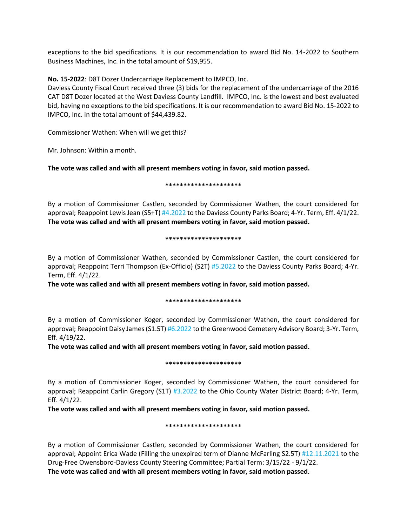exceptions to the bid specifications. It is our recommendation to award Bid No. 14-2022 to Southern Business Machines, Inc. in the total amount of \$19,955.

**No. 15-2022**: D8T Dozer Undercarriage Replacement to IMPCO, Inc.

Daviess County Fiscal Court received three (3) bids for the replacement of the undercarriage of the 2016 CAT D8T Dozer located at the West Daviess County Landfill. IMPCO, Inc. is the lowest and best evaluated bid, having no exceptions to the bid specifications. It is our recommendation to award Bid No. 15-2022 to IMPCO, Inc. in the total amount of \$44,439.82.

Commissioner Wathen: When will we get this?

Mr. Johnson: Within a month.

**The vote was called and with all present members voting in favor, said motion passed.**

**\*\*\*\*\*\*\*\*\*\*\*\*\*\*\*\*\*\*\*\*\***

By a motion of Commissioner Castlen, seconded by Commissioner Wathen, the court considered for approval; Reappoint Lewis Jean (S5+T) #4.2022 to the Daviess County Parks Board; 4-Yr. Term, Eff. 4/1/22. **The vote was called and with all present members voting in favor, said motion passed.**

### **\*\*\*\*\*\*\*\*\*\*\*\*\*\*\*\*\*\*\*\*\***

By a motion of Commissioner Wathen, seconded by Commissioner Castlen, the court considered for approval; Reappoint Terri Thompson (Ex-Officio) (S2T) #5.2022 to the Daviess County Parks Board; 4-Yr. Term, Eff. 4/1/22.

**The vote was called and with all present members voting in favor, said motion passed.**

# **\*\*\*\*\*\*\*\*\*\*\*\*\*\*\*\*\*\*\*\*\***

By a motion of Commissioner Koger, seconded by Commissioner Wathen, the court considered for approval; Reappoint Daisy James (S1.5T) #6.2022 to the Greenwood Cemetery Advisory Board; 3-Yr. Term, Eff. 4/19/22.

**The vote was called and with all present members voting in favor, said motion passed.**

# **\*\*\*\*\*\*\*\*\*\*\*\*\*\*\*\*\*\*\*\*\***

By a motion of Commissioner Koger, seconded by Commissioner Wathen, the court considered for approval; Reappoint Carlin Gregory (S1T) #3.2022 to the Ohio County Water District Board; 4-Yr. Term, Eff. 4/1/22.

**The vote was called and with all present members voting in favor, said motion passed.**

# **\*\*\*\*\*\*\*\*\*\*\*\*\*\*\*\*\*\*\*\*\***

By a motion of Commissioner Castlen, seconded by Commissioner Wathen, the court considered for approval; Appoint Erica Wade (Filling the unexpired term of Dianne McFarling S2.5T) #12.11.2021 to the Drug-Free Owensboro-Daviess County Steering Committee; Partial Term: 3/15/22 - 9/1/22. **The vote was called and with all present members voting in favor, said motion passed.**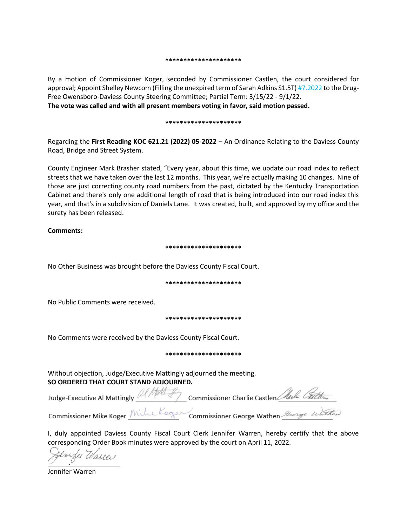#### **\*\*\*\*\*\*\*\*\*\*\*\*\*\*\*\*\*\*\*\*\***

By a motion of Commissioner Koger, seconded by Commissioner Castlen, the court considered for approval; Appoint Shelley Newcom (Filling the unexpired term of Sarah Adkins S1.5T) #7.2022 to the Drug-Free Owensboro-Daviess County Steering Committee; Partial Term: 3/15/22 - 9/1/22.

**The vote was called and with all present members voting in favor, said motion passed.**

#### **\*\*\*\*\*\*\*\*\*\*\*\*\*\*\*\*\*\*\*\*\***

Regarding the **First Reading KOC 621.21 (2022) 05-2022** – An Ordinance Relating to the Daviess County Road, Bridge and Street System.

County Engineer Mark Brasher stated, "Every year, about this time, we update our road index to reflect streets that we have taken over the last 12 months. This year, we're actually making 10 changes. Nine of those are just correcting county road numbers from the past, dictated by the Kentucky Transportation Cabinet and there's only one additional length of road that is being introduced into our road index this year, and that's in a subdivision of Daniels Lane. It was created, built, and approved by my office and the surety has been released.

# **Comments:**

#### **\*\*\*\*\*\*\*\*\*\*\*\*\*\*\*\*\*\*\*\*\***

No Other Business was brought before the Daviess County Fiscal Court.

#### **\*\*\*\*\*\*\*\*\*\*\*\*\*\*\*\*\*\*\*\*\***

No Public Comments were received.

#### **\*\*\*\*\*\*\*\*\*\*\*\*\*\*\*\*\*\*\*\*\***

No Comments were received by the Daviess County Fiscal Court.

#### **\*\*\*\*\*\*\*\*\*\*\*\*\*\*\*\*\*\*\*\*\***

Without objection, Judge/Executive Mattingly adjourned the meeting. **SO ORDERED THAT COURT STAND ADJOURNED.**

| Judge-Executive Al Mattingly 2 Matt for Commissioner Charlie Castlen Marking Carter |
|-------------------------------------------------------------------------------------|
| Commissioner Mike Koger / Mille Koger Commissioner George Wathen Surge Wathen       |

I, duly appointed Daviess County Fiscal Court Clerk Jennifer Warren, hereby certify that the above corresponding Order Book minutes were approved by the court on April 11, 2022.

Serrife Warren

Jennifer Warren